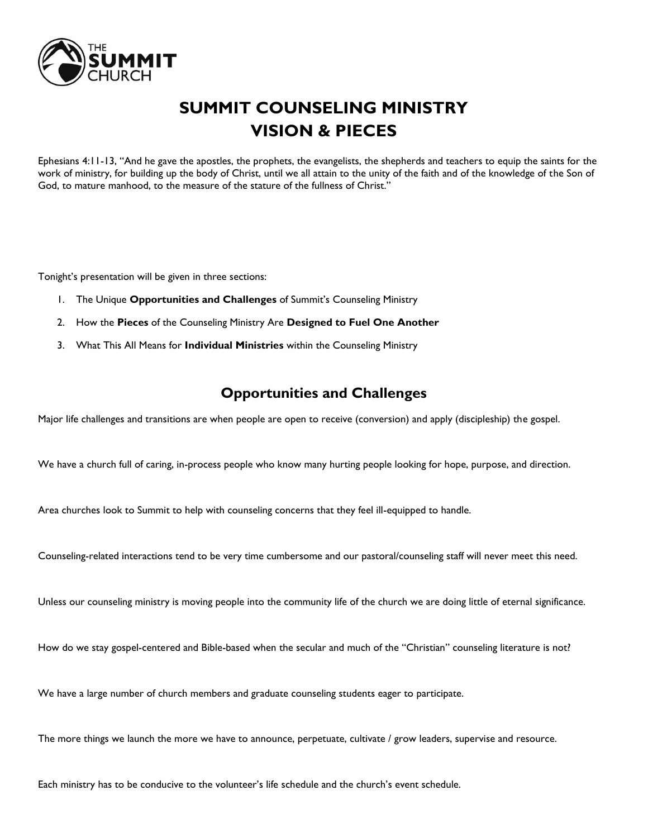

# **SUMMIT COUNSELING MINISTRY VISION & PIECES**

Ephesians 4:11-13, "And he gave the apostles, the prophets, the evangelists, the shepherds and teachers to equip the saints for the work of ministry, for building up the body of Christ, until we all attain to the unity of the faith and of the knowledge of the Son of God, to mature manhood, to the measure of the stature of the fullness of Christ."

Tonight's presentation will be given in three sections:

- 1. The Unique **Opportunities and Challenges** of Summit's Counseling Ministry
- 2. How the **Pieces** of the Counseling Ministry Are **Designed to Fuel One Another**
- 3. What This All Means for **Individual Ministries** within the Counseling Ministry

## **Opportunities and Challenges**

Major life challenges and transitions are when people are open to receive (conversion) and apply (discipleship) the gospel.

We have a church full of caring, in-process people who know many hurting people looking for hope, purpose, and direction.

Area churches look to Summit to help with counseling concerns that they feel ill-equipped to handle.

Counseling-related interactions tend to be very time cumbersome and our pastoral/counseling staff will never meet this need.

Unless our counseling ministry is moving people into the community life of the church we are doing little of eternal significance.

How do we stay gospel-centered and Bible-based when the secular and much of the "Christian" counseling literature is not?

We have a large number of church members and graduate counseling students eager to participate.

The more things we launch the more we have to announce, perpetuate, cultivate / grow leaders, supervise and resource.

Each ministry has to be conducive to the volunteer's life schedule and the church's event schedule.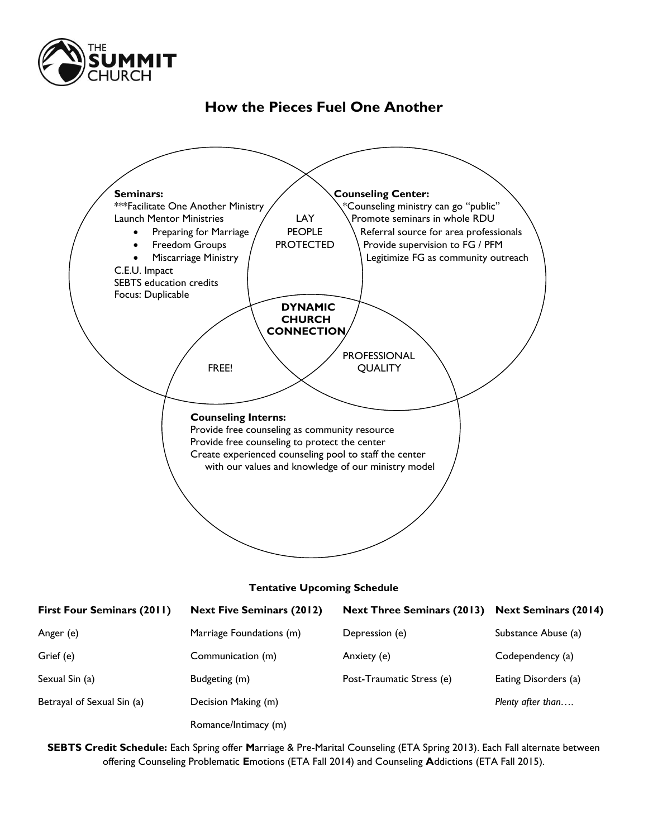

# **How the Pieces Fuel One Another**



#### **Tentative Upcoming Schedule**

| <b>First Four Seminars (2011)</b> | <b>Next Five Seminars (2012)</b> | <b>Next Three Seminars (2013)</b> | <b>Next Seminars (2014)</b> |
|-----------------------------------|----------------------------------|-----------------------------------|-----------------------------|
| Anger (e)                         | Marriage Foundations (m)         | Depression (e)                    | Substance Abuse (a)         |
| Grief (e)                         | Communication (m)                | Anxiety (e)                       | Codependency (a)            |
| Sexual Sin (a)                    | Budgeting (m)                    | Post-Traumatic Stress (e)         | Eating Disorders (a)        |
| Betrayal of Sexual Sin (a)        | Decision Making (m)              |                                   | Plenty after than           |
|                                   | Romance/Intimacy (m)             |                                   |                             |

**SEBTS Credit Schedule:** Each Spring offer **M**arriage & Pre-Marital Counseling (ETA Spring 2013). Each Fall alternate between offering Counseling Problematic **E**motions (ETA Fall 2014) and Counseling **A**ddictions (ETA Fall 2015).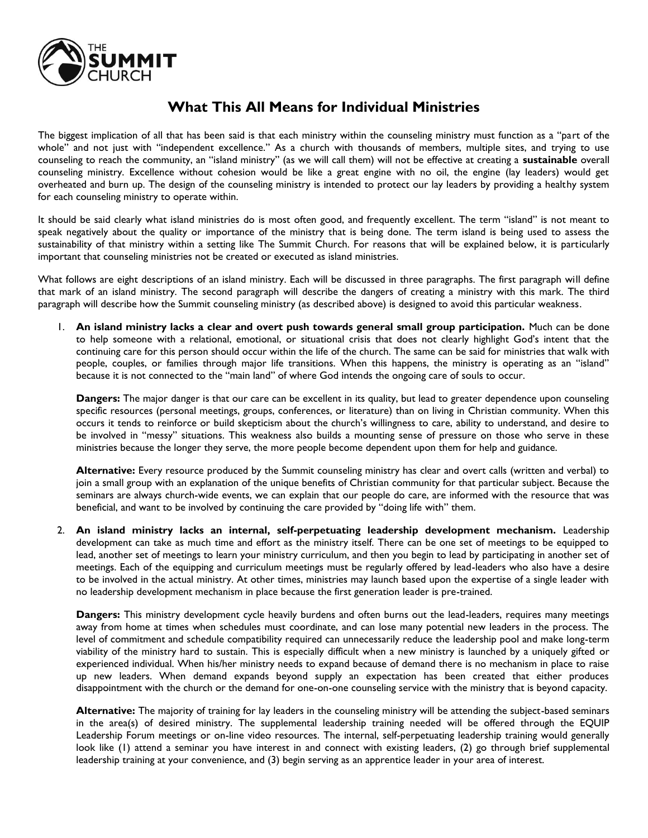

## **What This All Means for Individual Ministries**

The biggest implication of all that has been said is that each ministry within the counseling ministry must function as a "part of the whole" and not just with "independent excellence." As a church with thousands of members, multiple sites, and trying to use counseling to reach the community, an "island ministry" (as we will call them) will not be effective at creating a **sustainable** overall counseling ministry. Excellence without cohesion would be like a great engine with no oil, the engine (lay leaders) would get overheated and burn up. The design of the counseling ministry is intended to protect our lay leaders by providing a healthy system for each counseling ministry to operate within.

It should be said clearly what island ministries do is most often good, and frequently excellent. The term "island" is not meant to speak negatively about the quality or importance of the ministry that is being done. The term island is being used to assess the sustainability of that ministry within a setting like The Summit Church. For reasons that will be explained below, it is particularly important that counseling ministries not be created or executed as island ministries.

What follows are eight descriptions of an island ministry. Each will be discussed in three paragraphs. The first paragraph will define that mark of an island ministry. The second paragraph will describe the dangers of creating a ministry with this mark. The third paragraph will describe how the Summit counseling ministry (as described above) is designed to avoid this particular weakness.

1. **An island ministry lacks a clear and overt push towards general small group participation.** Much can be done to help someone with a relational, emotional, or situational crisis that does not clearly highlight God's intent that the continuing care for this person should occur within the life of the church. The same can be said for ministries that walk with people, couples, or families through major life transitions. When this happens, the ministry is operating as an "island" because it is not connected to the "main land" of where God intends the ongoing care of souls to occur.

**Dangers:** The major danger is that our care can be excellent in its quality, but lead to greater dependence upon counseling specific resources (personal meetings, groups, conferences, or literature) than on living in Christian community. When this occurs it tends to reinforce or build skepticism about the church's willingness to care, ability to understand, and desire to be involved in "messy" situations. This weakness also builds a mounting sense of pressure on those who serve in these ministries because the longer they serve, the more people become dependent upon them for help and guidance.

**Alternative:** Every resource produced by the Summit counseling ministry has clear and overt calls (written and verbal) to join a small group with an explanation of the unique benefits of Christian community for that particular subject. Because the seminars are always church-wide events, we can explain that our people do care, are informed with the resource that was beneficial, and want to be involved by continuing the care provided by "doing life with" them.

2. **An island ministry lacks an internal, self-perpetuating leadership development mechanism.** Leadership development can take as much time and effort as the ministry itself. There can be one set of meetings to be equipped to lead, another set of meetings to learn your ministry curriculum, and then you begin to lead by participating in another set of meetings. Each of the equipping and curriculum meetings must be regularly offered by lead-leaders who also have a desire to be involved in the actual ministry. At other times, ministries may launch based upon the expertise of a single leader with no leadership development mechanism in place because the first generation leader is pre-trained.

**Dangers:** This ministry development cycle heavily burdens and often burns out the lead-leaders, requires many meetings away from home at times when schedules must coordinate, and can lose many potential new leaders in the process. The level of commitment and schedule compatibility required can unnecessarily reduce the leadership pool and make long-term viability of the ministry hard to sustain. This is especially difficult when a new ministry is launched by a uniquely gifted or experienced individual. When his/her ministry needs to expand because of demand there is no mechanism in place to raise up new leaders. When demand expands beyond supply an expectation has been created that either produces disappointment with the church or the demand for one-on-one counseling service with the ministry that is beyond capacity.

**Alternative:** The majority of training for lay leaders in the counseling ministry will be attending the subject-based seminars in the area(s) of desired ministry. The supplemental leadership training needed will be offered through the EQUIP Leadership Forum meetings or on-line video resources. The internal, self-perpetuating leadership training would generally look like (1) attend a seminar you have interest in and connect with existing leaders, (2) go through brief supplemental leadership training at your convenience, and (3) begin serving as an apprentice leader in your area of interest.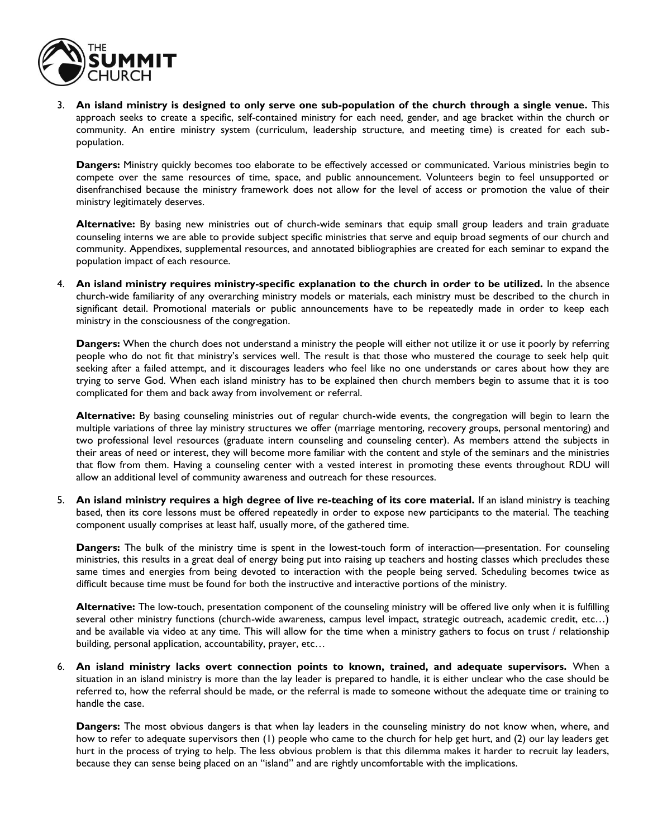

3. **An island ministry is designed to only serve one sub-population of the church through a single venue.** This approach seeks to create a specific, self-contained ministry for each need, gender, and age bracket within the church or community. An entire ministry system (curriculum, leadership structure, and meeting time) is created for each subpopulation.

**Dangers:** Ministry quickly becomes too elaborate to be effectively accessed or communicated. Various ministries begin to compete over the same resources of time, space, and public announcement. Volunteers begin to feel unsupported or disenfranchised because the ministry framework does not allow for the level of access or promotion the value of their ministry legitimately deserves.

**Alternative:** By basing new ministries out of church-wide seminars that equip small group leaders and train graduate counseling interns we are able to provide subject specific ministries that serve and equip broad segments of our church and community. Appendixes, supplemental resources, and annotated bibliographies are created for each seminar to expand the population impact of each resource.

4. **An island ministry requires ministry-specific explanation to the church in order to be utilized.** In the absence church-wide familiarity of any overarching ministry models or materials, each ministry must be described to the church in significant detail. Promotional materials or public announcements have to be repeatedly made in order to keep each ministry in the consciousness of the congregation.

**Dangers:** When the church does not understand a ministry the people will either not utilize it or use it poorly by referring people who do not fit that ministry's services well. The result is that those who mustered the courage to seek help quit seeking after a failed attempt, and it discourages leaders who feel like no one understands or cares about how they are trying to serve God. When each island ministry has to be explained then church members begin to assume that it is too complicated for them and back away from involvement or referral.

**Alternative:** By basing counseling ministries out of regular church-wide events, the congregation will begin to learn the multiple variations of three lay ministry structures we offer (marriage mentoring, recovery groups, personal mentoring) and two professional level resources (graduate intern counseling and counseling center). As members attend the subjects in their areas of need or interest, they will become more familiar with the content and style of the seminars and the ministries that flow from them. Having a counseling center with a vested interest in promoting these events throughout RDU will allow an additional level of community awareness and outreach for these resources.

5. **An island ministry requires a high degree of live re-teaching of its core material.** If an island ministry is teaching based, then its core lessons must be offered repeatedly in order to expose new participants to the material. The teaching component usually comprises at least half, usually more, of the gathered time.

**Dangers:** The bulk of the ministry time is spent in the lowest-touch form of interaction—presentation. For counseling ministries, this results in a great deal of energy being put into raising up teachers and hosting classes which precludes these same times and energies from being devoted to interaction with the people being served. Scheduling becomes twice as difficult because time must be found for both the instructive and interactive portions of the ministry.

**Alternative:** The low-touch, presentation component of the counseling ministry will be offered live only when it is fulfilling several other ministry functions (church-wide awareness, campus level impact, strategic outreach, academic credit, etc…) and be available via video at any time. This will allow for the time when a ministry gathers to focus on trust / relationship building, personal application, accountability, prayer, etc…

6. **An island ministry lacks overt connection points to known, trained, and adequate supervisors.** When a situation in an island ministry is more than the lay leader is prepared to handle, it is either unclear who the case should be referred to, how the referral should be made, or the referral is made to someone without the adequate time or training to handle the case.

**Dangers:** The most obvious dangers is that when lay leaders in the counseling ministry do not know when, where, and how to refer to adequate supervisors then (1) people who came to the church for help get hurt, and (2) our lay leaders get hurt in the process of trying to help. The less obvious problem is that this dilemma makes it harder to recruit lay leaders, because they can sense being placed on an "island" and are rightly uncomfortable with the implications.